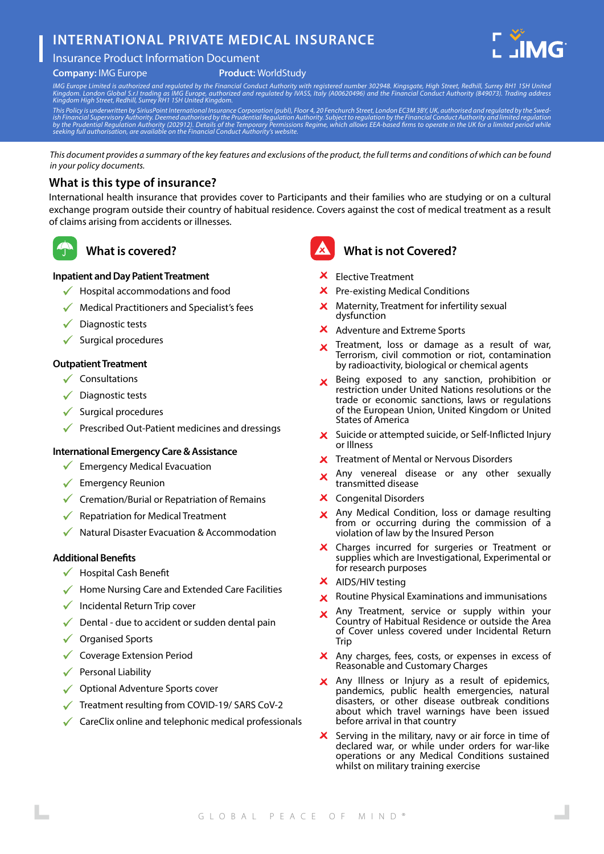# **INTERNATIONAL PRIVATE MEDICAL INSURANCE**





#### **Product:** WorldStudy

IMG Europe Limited is authorized and regulated by the Financial Conduct Authority with registered number 302948. Kingsgate, High Street, Redhill, Surrey RH1 1SH United<br>Kingdom London Global S.r.I trading as IMG Europe, aut

This Policy is underwritten by SiriusPoint International Insurance Corporation (publ), Floor 4, 20 Fenchurch Street, London EC3M 3BY, UK, authorised and regulated by the Swed-<br>ish Financial Supervisory Authority. Deemed au

*This document provides a summary of the key features and exclusions of the product, the full terms and conditions of which can be found in your policy documents.*

### **What is this type of insurance?**

International health insurance that provides cover to Participants and their families who are studying or on a cultural exchange program outside their country of habitual residence. Covers against the cost of medical treatment as a result of claims arising from accidents or illnesses.

## **What is covered?**

#### **Inpatient and Day Patient Treatment**

- Hospital accommodations and food
- Medical Practitioners and Specialist's fees
- $\sqrt{\phantom{a}}$  Diagnostic tests
- $\checkmark$  Surgical procedures

#### **Outpatient Treatment**

- $\checkmark$  Consultations
- $\checkmark$  Diagnostic tests
- $\checkmark$  Surgical procedures
- $\sqrt{\phantom{a}}$  Prescribed Out-Patient medicines and dressings

#### **International Emergency Care & Assistance**

- $\sqrt{\phantom{a}}$  Emergency Medical Evacuation
- $\checkmark$  Emergency Reunion
- $\checkmark$  Cremation/Burial or Repatriation of Remains
- Repatriation for Medical Treatment
- Natural Disaster Evacuation & Accommodation

#### **Additional Benefits**

- $\checkmark$  Hospital Cash Benefit
- $\checkmark$  Home Nursing Care and Extended Care Facilities
- $\checkmark$  Incidental Return Trip cover
- Dental due to accident or sudden dental pain
- $\sqrt{\phantom{a}}$  Organised Sports
- ◆ Coverage Extension Period
- $\checkmark$  Personal Liability
- **◆ Optional Adventure Sports cover**
- Treatment resulting from COVID-19/ SARS CoV-2
- $\checkmark$  CareClix online and telephonic medical professionals



### **What is not Covered?**

- $X$  Flective Treatment
- **X** Pre-existing Medical Conditions
- Maternity, Treatment for infertility sexual  $\mathsf{x}$ dysfunction
- X Adventure and Extreme Sports
- Treatment, loss or damage as a result of war,  $\mathbf{x}$ Terrorism, civil commotion or riot, contamination by radioactivity, biological or chemical agents
- Being exposed to any sanction, prohibition or  $\mathsf{x}$ restriction under United Nations resolutions or the trade or economic sanctions, laws or regulations of the European Union, United Kingdom or United States of America
- X Suicide or attempted suicide, or Self-Inflicted Injury or Illness
- **X** Treatment of Mental or Nervous Disorders
- Any venereal disease or any other sexually  $\mathbf{x}$ transmitted disease
- **X** Congenital Disorders
- Any Medical Condition, loss or damage resulting from or occurring during the commission of a violation of law by the Insured Person
- X Charges incurred for surgeries or Treatment or supplies which are Investigational, Experimental or for research purposes
- $X$  AIDS/HIV testing
- $\times$  Routine Physical Examinations and immunisations
- Any Treatment, service or supply within your Country of Habitual Residence or outside the Area of Cover unless covered under Incidental Return **Trip**
- X Any charges, fees, costs, or expenses in excess of Reasonable and Customary Charges
- X Any Illness or Injury as a result of epidemics, pandemics, public health emergencies, natural disasters, or other disease outbreak conditions about which travel warnings have been issued before arrival in that country
- Serving in the military, navy or air force in time of  $\mathsf{x}$ declared war, or while under orders for war-like operations or any Medical Conditions sustained whilst on military training exercise